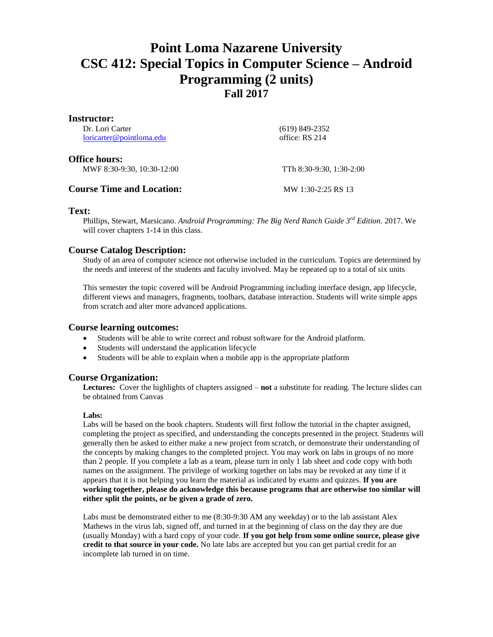# **Point Loma Nazarene University CSC 412: Special Topics in Computer Science – Android Programming (2 units) Fall 2017**

### **Instructor:**

| <b>Course Time and Location:</b>                   | MW 1:30-2:25 RS 13       |
|----------------------------------------------------|--------------------------|
| <b>Office hours:</b><br>MWF 8:30-9:30, 10:30-12:00 | TTh 8:30-9:30, 1:30-2:00 |
| loricarter@pointloma.edu                           | office: RS 214           |
| Dr. Lori Carter                                    | $(619)$ 849-2352         |

## **Text:**

Phillips, Stewart, Marsicano. *Android Programming: The Big Nerd Ranch Guide 3rd Edition.* 2017. We will cover chapters 1-14 in this class.

# **Course Catalog Description:**

Study of an area of computer science not otherwise included in the curriculum. Topics are determined by the needs and interest of the students and faculty involved. May be repeated up to a total of six units

This semester the topic covered will be Android Programming including interface design, app lifecycle, different views and managers, fragments, toolbars, database interaction. Students will write simple apps from scratch and alter more advanced applications.

# **Course learning outcomes:**

- Students will be able to write correct and robust software for the Android platform.
- Students will understand the application lifecycle
- Students will be able to explain when a mobile app is the appropriate platform

# **Course Organization:**

**Lectures:** Cover the highlights of chapters assigned – **not** a substitute for reading. The lecture slides can be obtained from Canvas

#### **Labs:**

Labs will be based on the book chapters. Students will first follow the tutorial in the chapter assigned, completing the project as specified, and understanding the concepts presented in the project. Students will generally then be asked to either make a new project from scratch, or demonstrate their understanding of the concepts by making changes to the completed project. You may work on labs in groups of no more than 2 people. If you complete a lab as a team, please turn in only 1 lab sheet and code copy with both names on the assignment. The privilege of working together on labs may be revoked at any time if it appears that it is not helping you learn the material as indicated by exams and quizzes. **If you are working together, please do acknowledge this because programs that are otherwise too similar will either split the points, or be given a grade of zero.** 

Labs must be demonstrated either to me (8:30-9:30 AM any weekday) or to the lab assistant Alex Mathews in the virus lab, signed off, and turned in at the beginning of class on the day they are due (usually Monday) with a hard copy of your code. **If you got help from some online source, please give credit to that source in your code.** No late labs are accepted but you can get partial credit for an incomplete lab turned in on time.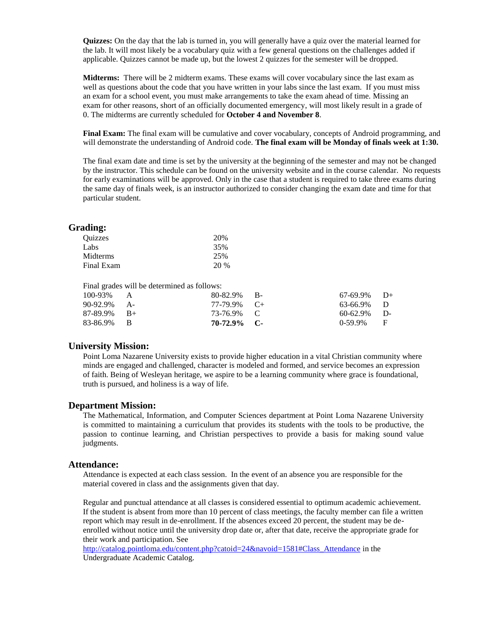**Quizzes:** On the day that the lab is turned in, you will generally have a quiz over the material learned for the lab. It will most likely be a vocabulary quiz with a few general questions on the challenges added if applicable. Quizzes cannot be made up, but the lowest 2 quizzes for the semester will be dropped.

**Midterms:** There will be 2 midterm exams. These exams will cover vocabulary since the last exam as well as questions about the code that you have written in your labs since the last exam. If you must miss an exam for a school event, you must make arrangements to take the exam ahead of time. Missing an exam for other reasons, short of an officially documented emergency, will most likely result in a grade of 0. The midterms are currently scheduled for **October 4 and November 8**.

**Final Exam:** The final exam will be cumulative and cover vocabulary, concepts of Android programming, and will demonstrate the understanding of Android code. **The final exam will be Monday of finals week at 1:30.** 

The final exam date and time is set by the university at the beginning of the semester and may not be changed by the instructor. This schedule can be found on the university website and in the course calendar. No requests for early examinations will be approved. Only in the case that a student is required to take three exams during the same day of finals week, is an instructor authorized to consider changing the exam date and time for that particular student.

#### **Grading:**

| Ouizzes    | 20%  |
|------------|------|
| Labs       | 35%  |
| Midterms   | 25%  |
| Final Exam | 20 % |
|            |      |

Final grades will be determined as follows:

| $87-89.9\%$ B+<br>83-86.9% B | 73-76.9% C<br>$70-72.9\%$ C- | $60-62.9\%$ D-<br>$0-59.9\%$ F |  |
|------------------------------|------------------------------|--------------------------------|--|
| 90-92.9% A-                  | $77-79.9\%$ C+               | 63-66.9% D                     |  |
| $100-93\%$ A                 | $80-82.9\%$ B-               | $67-69.9\%$ D+                 |  |

#### **University Mission:**

Point Loma Nazarene University exists to provide higher education in a vital Christian community where minds are engaged and challenged, character is modeled and formed, and service becomes an expression of faith. Being of Wesleyan heritage, we aspire to be a learning community where grace is foundational, truth is pursued, and holiness is a way of life.

#### **Department Mission:**

The Mathematical, Information, and Computer Sciences department at Point Loma Nazarene University is committed to maintaining a curriculum that provides its students with the tools to be productive, the passion to continue learning, and Christian perspectives to provide a basis for making sound value judgments.

#### **Attendance:**

Attendance is expected at each class session. In the event of an absence you are responsible for the material covered in class and the assignments given that day.

Regular and punctual attendance at all classes is considered essential to optimum academic achievement. If the student is absent from more than 10 percent of class meetings, the faculty member can file a written report which may result in de-enrollment. If the absences exceed 20 percent, the student may be deenrolled without notice until the university drop date or, after that date, receive the appropriate grade for their work and participation. See

[http://catalog.pointloma.edu/content.php?catoid=24&navoid=1581#Class\\_Attendance](http://catalog.pointloma.edu/content.php?catoid=24&navoid=1581#Class_Attendance) in the Undergraduate Academic Catalog.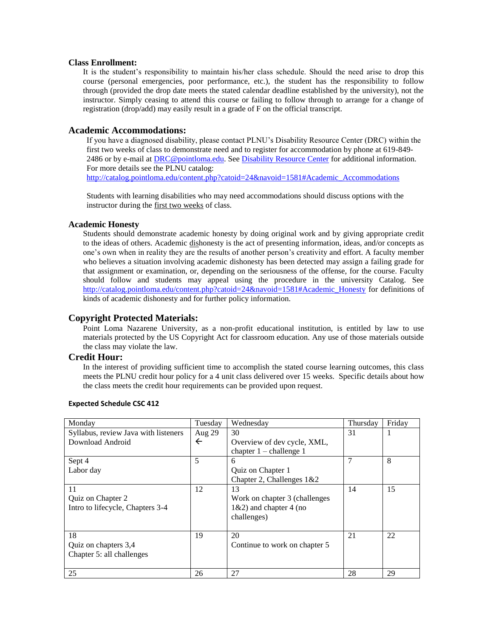#### **Class Enrollment:**

It is the student's responsibility to maintain his/her class schedule. Should the need arise to drop this course (personal emergencies, poor performance, etc.), the student has the responsibility to follow through (provided the drop date meets the stated calendar deadline established by the university), not the instructor. Simply ceasing to attend this course or failing to follow through to arrange for a change of registration (drop/add) may easily result in a grade of F on the official transcript.

## **Academic Accommodations:**

If you have a diagnosed disability, please contact PLNU's Disability Resource Center (DRC) within the first two weeks of class to demonstrate need and to register for accommodation by phone at 619-849- 2486 or by e-mail at **DRC@pointloma.edu.** See **Disability Resource Center** for additional information. For more details see the PLNU catalog: [http://catalog.pointloma.edu/content.php?catoid=24&navoid=1581#Academic\\_Accommodations](http://catalog.pointloma.edu/content.php?catoid=24&navoid=1581#Academic_Accommodations) 

Students with learning disabilities who may need accommodations should discuss options with the instructor during the first two weeks of class.

#### **Academic Honesty**

Students should demonstrate academic honesty by doing original work and by giving appropriate credit to the ideas of others. Academic dishonesty is the act of presenting information, ideas, and/or concepts as one's own when in reality they are the results of another person's creativity and effort. A faculty member who believes a situation involving academic dishonesty has been detected may assign a failing grade for that assignment or examination, or, depending on the seriousness of the offense, for the course. Faculty should follow and students may appeal using the procedure in the university Catalog. See [http://catalog.pointloma.edu/content.php?catoid=24&navoid=1581#Academic\\_Honesty](http://catalog.pointloma.edu/content.php?catoid=24&navoid=1581#Academic_Honesty) for definitions of kinds of academic dishonesty and for further policy information.

#### **Copyright Protected Materials:**

Point Loma Nazarene University, as a non-profit educational institution, is entitled by law to use materials protected by the US Copyright Act for classroom education. Any use of those materials outside the class may violate the law.

#### **Credit Hour:**

In the interest of providing sufficient time to accomplish the stated course learning outcomes, this class meets the PLNU credit hour policy for a 4 unit class delivered over 15 weeks. Specific details about how the class meets the credit hour requirements can be provided upon request.

| Monday                               | Tuesday      | Wednesday                     | Thursday | Friday |
|--------------------------------------|--------------|-------------------------------|----------|--------|
| Syllabus, review Java with listeners | Aug 29       | 30                            | 31       | 1      |
| Download Android                     | $\leftarrow$ | Overview of dev cycle, XML,   |          |        |
|                                      |              | chapter $1$ – challenge 1     |          |        |
| Sept 4                               | 5            | 6                             |          | 8      |
| Labor day                            |              | Quiz on Chapter 1             |          |        |
|                                      |              | Chapter 2, Challenges 1&2     |          |        |
| 11                                   | 12           | 13                            | 14       | 15     |
| Quiz on Chapter 2                    |              | Work on chapter 3 (challenges |          |        |
| Intro to lifecycle, Chapters 3-4     |              | $1\&2$ ) and chapter 4 (no    |          |        |
|                                      |              | challenges)                   |          |        |
|                                      |              |                               |          |        |
| 18                                   | 19           | 20                            | 21       | 22     |
| Quiz on chapters 3,4                 |              | Continue to work on chapter 5 |          |        |
| Chapter 5: all challenges            |              |                               |          |        |
|                                      |              |                               |          |        |
| 25                                   | 26           | 27                            | 28       | 29     |

#### **Expected Schedule CSC 412**